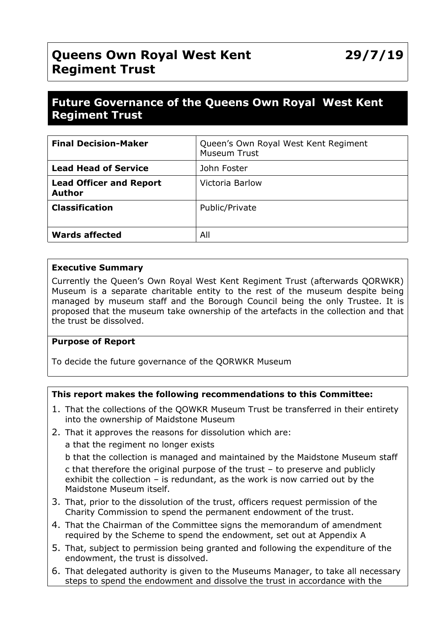# **Queens Own Royal West Kent Regiment Trust**

# **Future Governance of the Queens Own Royal West Kent Regiment Trust**

| <b>Final Decision-Maker</b>                     | Queen's Own Royal West Kent Regiment<br><b>Museum Trust</b> |
|-------------------------------------------------|-------------------------------------------------------------|
| <b>Lead Head of Service</b>                     | John Foster                                                 |
| <b>Lead Officer and Report</b><br><b>Author</b> | Victoria Barlow                                             |
| <b>Classification</b>                           | Public/Private                                              |
| <b>Wards affected</b>                           | All                                                         |

#### **Executive Summary**

Currently the Queen's Own Royal West Kent Regiment Trust (afterwards QORWKR) Museum is a separate charitable entity to the rest of the museum despite being managed by museum staff and the Borough Council being the only Trustee. It is proposed that the museum take ownership of the artefacts in the collection and that the trust be dissolved.

## **Purpose of Report**

To decide the future governance of the QORWKR Museum

## **This report makes the following recommendations to this Committee:**

- 1. That the collections of the QOWKR Museum Trust be transferred in their entirety into the ownership of Maidstone Museum
- 2. That it approves the reasons for dissolution which are:

a that the regiment no longer exists

b that the collection is managed and maintained by the Maidstone Museum staff c that therefore the original purpose of the trust – to preserve and publicly exhibit the collection – is redundant, as the work is now carried out by the Maidstone Museum itself.

- 3. That, prior to the dissolution of the trust, officers request permission of the Charity Commission to spend the permanent endowment of the trust.
- 4. That the Chairman of the Committee signs the memorandum of amendment required by the Scheme to spend the endowment, set out at Appendix A
- 5. That, subject to permission being granted and following the expenditure of the endowment, the trust is dissolved.
- 6. That delegated authority is given to the Museums Manager, to take all necessary steps to spend the endowment and dissolve the trust in accordance with the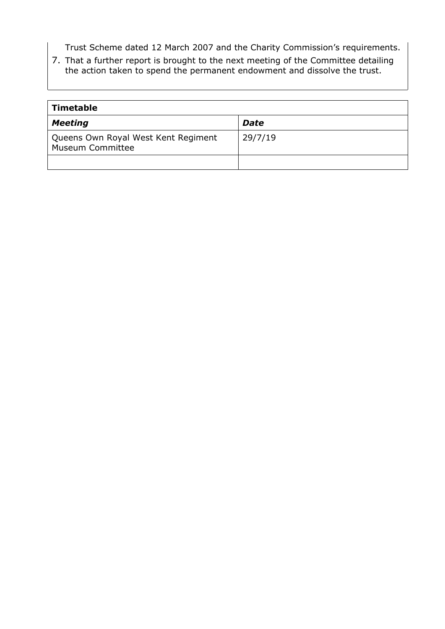Trust Scheme dated 12 March 2007 and the Charity Commission's requirements.

7. That a further report is brought to the next meeting of the Committee detailing the action taken to spend the permanent endowment and dissolve the trust.

| Timetable                                                      |             |  |  |
|----------------------------------------------------------------|-------------|--|--|
| <b>Meeting</b>                                                 | <b>Date</b> |  |  |
| Queens Own Royal West Kent Regiment<br><b>Museum Committee</b> | 29/7/19     |  |  |
|                                                                |             |  |  |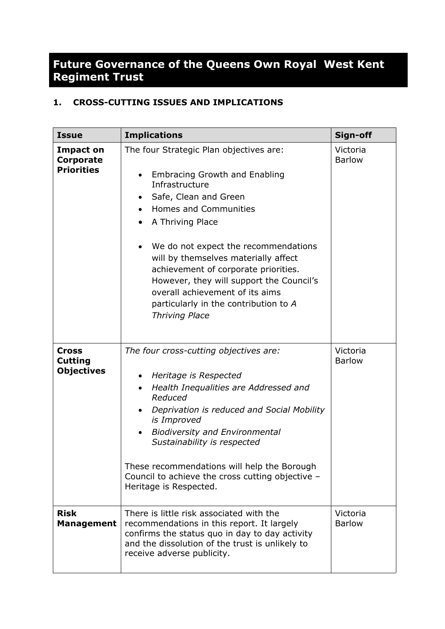# **Future Governance of the Queens Own Royal West Kent Regiment Trust**

# **1. CROSS-CUTTING ISSUES AND IMPLICATIONS**

| <b>Issue</b>                                        | <b>Implications</b>                                                                                                                                                                                                                                                                                                                                                                                                                                          | Sign-off                  |
|-----------------------------------------------------|--------------------------------------------------------------------------------------------------------------------------------------------------------------------------------------------------------------------------------------------------------------------------------------------------------------------------------------------------------------------------------------------------------------------------------------------------------------|---------------------------|
| <b>Impact on</b><br>Corporate<br><b>Priorities</b>  | The four Strategic Plan objectives are:<br><b>Embracing Growth and Enabling</b><br>Infrastructure<br>Safe, Clean and Green<br><b>Homes and Communities</b><br>A Thriving Place<br>٠<br>We do not expect the recommendations<br>will by themselves materially affect<br>achievement of corporate priorities.<br>However, they will support the Council's<br>overall achievement of its aims<br>particularly in the contribution to A<br><b>Thriving Place</b> | Victoria<br><b>Barlow</b> |
| <b>Cross</b><br><b>Cutting</b><br><b>Objectives</b> | The four cross-cutting objectives are:<br>Heritage is Respected<br>٠<br>Health Inequalities are Addressed and<br>$\bullet$<br>Reduced<br>Deprivation is reduced and Social Mobility<br>$\bullet$<br>is Improved<br><b>Biodiversity and Environmental</b><br>Sustainability is respected<br>These recommendations will help the Borough<br>Council to achieve the cross cutting objective -<br>Heritage is Respected.                                         | Victoria<br><b>Barlow</b> |
| <b>Risk</b><br><b>Management</b>                    | There is little risk associated with the<br>recommendations in this report. It largely<br>confirms the status quo in day to day activity<br>and the dissolution of the trust is unlikely to<br>receive adverse publicity.                                                                                                                                                                                                                                    | Victoria<br><b>Barlow</b> |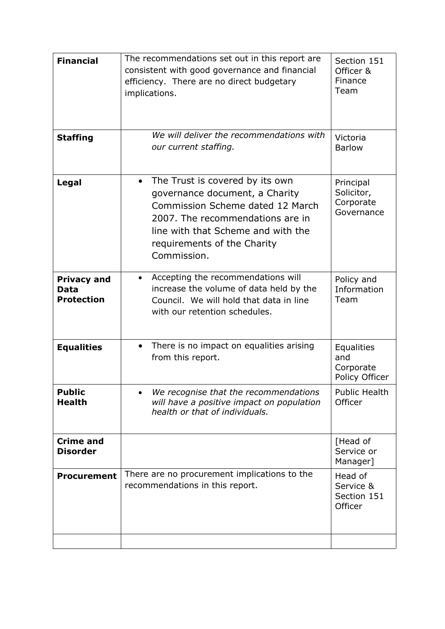| <b>Financial</b>                                       | The recommendations set out in this report are<br>consistent with good governance and financial<br>efficiency. There are no direct budgetary<br>implications.                                                                   | Section 151<br>Officer &<br>Finance<br>Team             |
|--------------------------------------------------------|---------------------------------------------------------------------------------------------------------------------------------------------------------------------------------------------------------------------------------|---------------------------------------------------------|
| <b>Staffing</b>                                        | We will deliver the recommendations with<br>our current staffing.                                                                                                                                                               | Victoria<br><b>Barlow</b>                               |
| Legal                                                  | • The Trust is covered by its own<br>governance document, a Charity<br>Commission Scheme dated 12 March<br>2007. The recommendations are in<br>line with that Scheme and with the<br>requirements of the Charity<br>Commission. | Principal<br>Solicitor,<br>Corporate<br>Governance      |
| <b>Privacy and</b><br><b>Data</b><br><b>Protection</b> | Accepting the recommendations will<br>$\bullet$<br>increase the volume of data held by the<br>Council. We will hold that data in line<br>with our retention schedules.                                                          | Policy and<br>Information<br>Team                       |
| <b>Equalities</b>                                      | There is no impact on equalities arising<br>$\bullet$<br>from this report.                                                                                                                                                      | <b>Equalities</b><br>and<br>Corporate<br>Policy Officer |
| <b>Public</b><br><b>Health</b>                         | We recognise that the recommendations<br>will have a positive impact on population<br>health or that of individuals.                                                                                                            | <b>Public Health</b><br>Officer                         |
| <b>Crime and</b><br><b>Disorder</b>                    |                                                                                                                                                                                                                                 | [Head of<br>Service or<br>Manager]                      |
| <b>Procurement</b>                                     | There are no procurement implications to the<br>recommendations in this report.                                                                                                                                                 | Head of<br>Service &<br>Section 151<br>Officer          |
|                                                        |                                                                                                                                                                                                                                 |                                                         |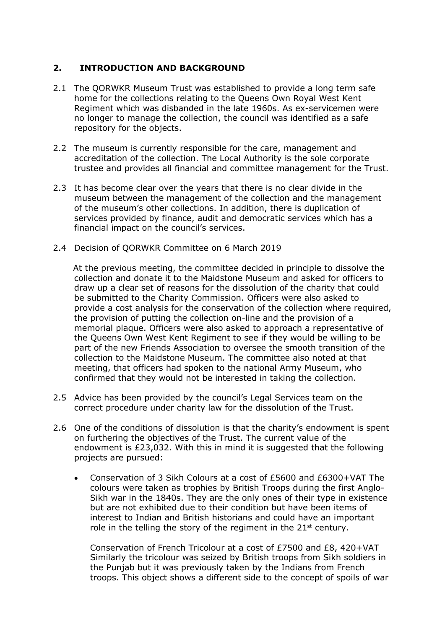# **2. INTRODUCTION AND BACKGROUND**

- 2.1 The QORWKR Museum Trust was established to provide a long term safe home for the collections relating to the Queens Own Royal West Kent Regiment which was disbanded in the late 1960s. As ex-servicemen were no longer to manage the collection, the council was identified as a safe repository for the objects.
- 2.2 The museum is currently responsible for the care, management and accreditation of the collection. The Local Authority is the sole corporate trustee and provides all financial and committee management for the Trust.
- 2.3 It has become clear over the years that there is no clear divide in the museum between the management of the collection and the management of the museum's other collections. In addition, there is duplication of services provided by finance, audit and democratic services which has a financial impact on the council's services.
- 2.4 Decision of QORWKR Committee on 6 March 2019

 At the previous meeting, the committee decided in principle to dissolve the collection and donate it to the Maidstone Museum and asked for officers to draw up a clear set of reasons for the dissolution of the charity that could be submitted to the Charity Commission. Officers were also asked to provide a cost analysis for the conservation of the collection where required, the provision of putting the collection on-line and the provision of a memorial plaque. Officers were also asked to approach a representative of the Queens Own West Kent Regiment to see if they would be willing to be part of the new Friends Association to oversee the smooth transition of the collection to the Maidstone Museum. The committee also noted at that meeting, that officers had spoken to the national Army Museum, who confirmed that they would not be interested in taking the collection.

- 2.5 Advice has been provided by the council's Legal Services team on the correct procedure under charity law for the dissolution of the Trust.
- 2.6 One of the conditions of dissolution is that the charity's endowment is spent on furthering the objectives of the Trust. The current value of the endowment is £23,032. With this in mind it is suggested that the following projects are pursued:
	- Conservation of 3 Sikh Colours at a cost of £5600 and £6300+VAT The colours were taken as trophies by British Troops during the first Anglo-Sikh war in the 1840s. They are the only ones of their type in existence but are not exhibited due to their condition but have been items of interest to Indian and British historians and could have an important role in the telling the story of the regiment in the  $21^{st}$  century.

Conservation of French Tricolour at a cost of £7500 and £8, 420+VAT Similarly the tricolour was seized by British troops from Sikh soldiers in the Punjab but it was previously taken by the Indians from French troops. This object shows a different side to the concept of spoils of war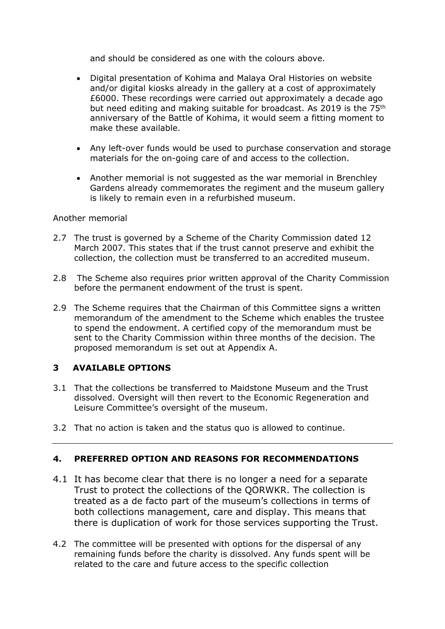and should be considered as one with the colours above.

- Digital presentation of Kohima and Malaya Oral Histories on website and/or digital kiosks already in the gallery at a cost of approximately £6000. These recordings were carried out approximately a decade ago but need editing and making suitable for broadcast. As 2019 is the 75<sup>th</sup> anniversary of the Battle of Kohima, it would seem a fitting moment to make these available.
- Any left-over funds would be used to purchase conservation and storage materials for the on-going care of and access to the collection.
- Another memorial is not suggested as the war memorial in Brenchley Gardens already commemorates the regiment and the museum gallery is likely to remain even in a refurbished museum.

#### Another memorial

- 2.7 The trust is governed by a Scheme of the Charity Commission dated 12 March 2007. This states that if the trust cannot preserve and exhibit the collection, the collection must be transferred to an accredited museum.
- 2.8 The Scheme also requires prior written approval of the Charity Commission before the permanent endowment of the trust is spent.
- 2.9 The Scheme requires that the Chairman of this Committee signs a written memorandum of the amendment to the Scheme which enables the trustee to spend the endowment. A certified copy of the memorandum must be sent to the Charity Commission within three months of the decision. The proposed memorandum is set out at Appendix A.

# **3 AVAILABLE OPTIONS**

- 3.1 That the collections be transferred to Maidstone Museum and the Trust dissolved. Oversight will then revert to the Economic Regeneration and Leisure Committee's oversight of the museum.
- 3.2 That no action is taken and the status quo is allowed to continue.

## **4. PREFERRED OPTION AND REASONS FOR RECOMMENDATIONS**

- 4.1 It has become clear that there is no longer a need for a separate Trust to protect the collections of the QORWKR. The collection is treated as a de facto part of the museum's collections in terms of both collections management, care and display. This means that there is duplication of work for those services supporting the Trust.
- 4.2 The committee will be presented with options for the dispersal of any remaining funds before the charity is dissolved. Any funds spent will be related to the care and future access to the specific collection